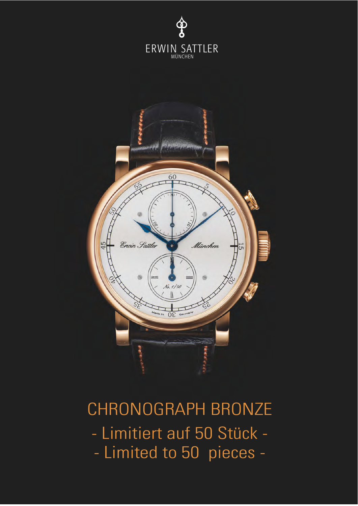



# CHRONOGRAPH BRONZE - Limitiert auf 50 Stück - - Limited to 50 pieces -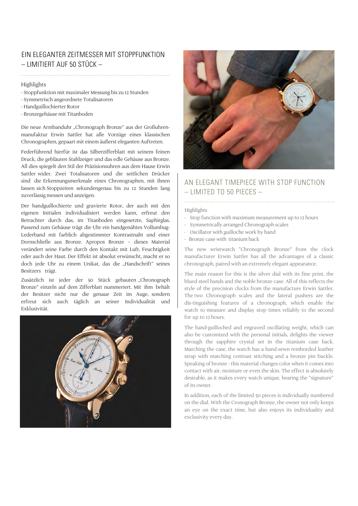### EIN ELEGANTER ZEITMESSER MIT STOPPFUNKTION  $-$  LIMITIERT AUF 50 STÜCK  $-$

#### Highlights

- Stoppfunktion mit maximaler Messung bis zu 12 Stunden
- Symmetrisch angeordnete Totalisatoren
- Handguillochierter Rotor
- Bronzegehäuse mit Titanboden

Die neue Armbanduhr "Chronograph Bronze" aus der Großuhrenmanufaktur Erwin Sattler hat alle Vorzüge eines klassischen Chronographen, gepaart mit einem äußerst eleganten Auftreten.

Federführend hierfür ist das Silberzifferblatt mit seinem feinen Druck, die gebläuten Stahlzeiger und das edle Gehäuse aus Bronze. All dies spiegelt den Stil der Präzisionsuhren aus dem Hause Erwin Sattler wider. Zwei Totalisatoren und die seitlichen Drücker sind die Erkennungsmerkmale eines Chronographen, mit ihnen lassen sich Stoppzeiten sekundengenau bis zu 12 Stunden lang zuverlässig messen und anzeigen.

Der handguillochierte und gravierte Rotor, der auch mit den eigenen Initialen individualisiert werden kann, erfreut den Betrachter durch das, im Titanboden eingesetzte, Saphirglas. Passend zum Gehäuse trägt die Uhr ein handgenähtes Vollumbug-Lederband mit farblich abgestimmter Kontrastnaht und einer Dornschließe aus Bronze. Apropos Bronze – dieses Material verändert seine Farbe durch den Kontakt mit Luft, Feuchtigkeit oder auch der Haut. Der Effekt ist absolut erwünscht, macht er so doch jede Uhr zu einem Unikat, das die "Handschrift" seines Besitzers trägt.

Zusätzlich ist jeder der 50 Stück gebauten "Chronograph Bronze" einzeln auf dem Zifferblatt nummeriert. Mit ihm behält der Besitzer nicht nur die genaue Zeit im Auge, sondern erfreut sich auch täglich an seiner Individualität und Exklusivität.





## AN ELEGANT TIMEPIECE WITH STOP FUNCTION – LIMITED TO 50 PIECES –

#### Highlights

- Stop function with maximum measurement up to 12 hours
- Symmetrically arranged Chronograph scales
- Oscillator with guilloche work by hand
- Bronze case with titanium back

The new wristwatch "Chronograph Bronze" from the clock manufacturer Erwin Sattler has all the advantages of a classic chronograph, paired with an extremely elegant appearance.

The main reason for this is the silver dial with its fine print, the blued steel hands and the noble bronze case. All of this reflects the style of the precision clocks from the manufacture Erwin Sattler. The two Chronograph scales and the lateral pushers are the dis-tinguishing features of a chronograph, which enable the watch to measure and display stop times reliably to the second for up to 12 hours.

The hand-guilloched and engraved oscillating weight, which can also be customized with the personal initials, delights the viewer through the sapphire crystal set in the titanium case back. Matching the case, the watch has a hand-sewn remborded leather strap with matching contrast stitching and a bronze pin buckle. Speaking of bronze - this material changes color when it comes into contact with air, moisture or even the skin. The effect is absolutely desirable, as it makes every watch unique, bearing the "signature" of its owner.

In addition, each of the limited 50 pieces is individually numbered on the dial. With the Cronograph Bronze, the owner not only keeps an eye on the exact time, but also enjoys its individuality and exclusivity every day.